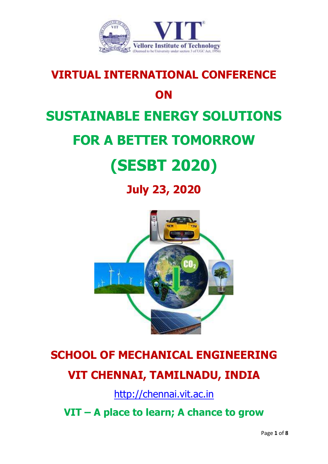

# **VIRTUAL INTERNATIONAL CONFERENCE ON SUSTAINABLE ENERGY SOLUTIONS FOR A BETTER TOMORROW (SESBT 2020)**

**July 23, 2020**



## **SCHOOL OF MECHANICAL ENGINEERING VIT CHENNAI, TAMILNADU, INDIA**

[http://chennai.vit.ac.in](http://chennai.vit.ac.in/) 

**VIT – A place to learn; A chance to grow**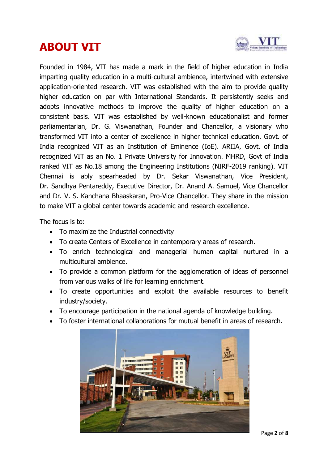### **ABOUT VIT**



Founded in 1984, VIT has made a mark in the field of higher education in India imparting quality education in a multi-cultural ambience, intertwined with extensive application-oriented research. VIT was established with the aim to provide quality higher education on par with International Standards. It persistently seeks and adopts innovative methods to improve the quality of higher education on a consistent basis. VIT was established by well-known educationalist and former parliamentarian, Dr. G. Viswanathan, Founder and Chancellor, a visionary who transformed VIT into a center of excellence in higher technical education. Govt. of India recognized VIT as an Institution of Eminence (IoE). ARIIA, Govt. of India recognized VIT as an No. 1 Private University for Innovation. MHRD, Govt of India ranked VIT as No.18 among the Engineering Institutions (NIRF-2019 ranking). VIT Chennai is ably spearheaded by Dr. Sekar Viswanathan, Vice President, Dr. Sandhya Pentareddy, Executive Director, Dr. Anand A. Samuel, Vice Chancellor and Dr. V. S. Kanchana Bhaaskaran, Pro-Vice Chancellor. They share in the mission to make VIT a global center towards academic and research excellence.

The focus is to:

- To maximize the Industrial connectivity
- To create Centers of Excellence in contemporary areas of research.
- To enrich technological and managerial human capital nurtured in a multicultural ambience.
- To provide a common platform for the agglomeration of ideas of personnel from various walks of life for learning enrichment.
- To create opportunities and exploit the available resources to benefit industry/society.
- To encourage participation in the national agenda of knowledge building.
- To foster international collaborations for mutual benefit in areas of research.

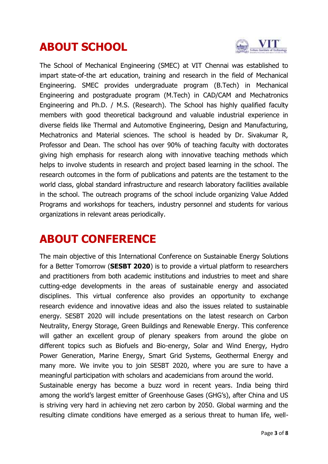### **ABOUT SCHOOL**



The School of Mechanical Engineering (SMEC) at VIT Chennai was established to impart state-of-the art education, training and research in the field of Mechanical Engineering. SMEC provides undergraduate program (B.Tech) in Mechanical Engineering and postgraduate program (M.Tech) in CAD/CAM and Mechatronics Engineering and Ph.D. / M.S. (Research). The School has highly qualified faculty members with good theoretical background and valuable industrial experience in diverse fields like Thermal and Automotive Engineering, Design and Manufacturing, Mechatronics and Material sciences. The school is headed by Dr. Sivakumar R, Professor and Dean. The school has over 90% of teaching faculty with doctorates giving high emphasis for research along with innovative teaching methods which helps to involve students in research and project based learning in the school. The research outcomes in the form of publications and patents are the testament to the world class, global standard infrastructure and research laboratory facilities available in the school. The outreach programs of the school include organizing Value Added Programs and workshops for teachers, industry personnel and students for various organizations in relevant areas periodically.

#### **ABOUT CONFERENCE**

The main objective of this International Conference on Sustainable Energy Solutions for a Better Tomorrow (**SESBT 2020**) is to provide a virtual platform to researchers and practitioners from both academic institutions and industries to meet and share cutting-edge developments in the areas of sustainable energy and associated disciplines. This virtual conference also provides an opportunity to exchange research evidence and innovative ideas and also the issues related to sustainable energy. SESBT 2020 will include presentations on the latest research on Carbon Neutrality, Energy Storage, Green Buildings and Renewable Energy. This conference will gather an excellent group of plenary speakers from around the globe on different topics such as Biofuels and Bio-energy, Solar and Wind Energy, Hydro Power Generation, Marine Energy, Smart Grid Systems, Geothermal Energy and many more. We invite you to join SESBT 2020, where you are sure to have a meaningful participation with scholars and academicians from around the world.

Sustainable energy has become a buzz word in recent years. India being third among the world's largest emitter of Greenhouse Gases (GHG's), after China and US is striving very hard in achieving net zero carbon by 2050. Global warming and the resulting climate conditions have emerged as a serious threat to human life, well-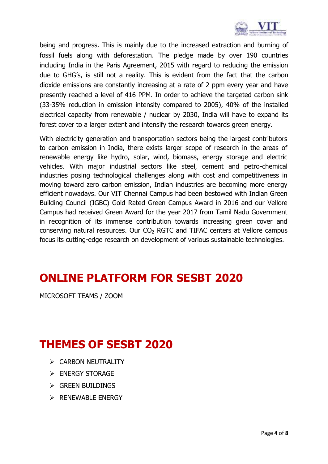

being and progress. This is mainly due to the increased extraction and burning of fossil fuels along with deforestation. The pledge made by over 190 countries including India in the Paris Agreement, 2015 with regard to reducing the emission due to GHG's, is still not a reality. This is evident from the fact that the carbon dioxide emissions are constantly increasing at a rate of 2 ppm every year and have presently reached a level of 416 PPM. In order to achieve the targeted carbon sink (33-35% reduction in emission intensity compared to 2005), 40% of the installed electrical capacity from renewable / nuclear by 2030, India will have to expand its forest cover to a larger extent and intensify the research towards green energy.

With electricity generation and transportation sectors being the largest contributors to carbon emission in India, there exists larger scope of research in the areas of renewable energy like hydro, solar, wind, biomass, energy storage and electric vehicles. With major industrial sectors like steel, cement and petro-chemical industries posing technological challenges along with cost and competitiveness in moving toward zero carbon emission, Indian industries are becoming more energy efficient nowadays. Our VIT Chennai Campus had been bestowed with Indian Green Building Council (IGBC) Gold Rated Green Campus Award in 2016 and our Vellore Campus had received Green Award for the year 2017 from Tamil Nadu Government in recognition of its immense contribution towards increasing green cover and conserving natural resources. Our  $CO<sub>2</sub>$  RGTC and TIFAC centers at Vellore campus focus its cutting-edge research on development of various sustainable technologies.

#### **ONLINE PLATFORM FOR SESBT 2020**

MICROSOFT TEAMS / ZOOM

#### **THEMES OF SESBT 2020**

- > CARBON NEUTRALITY
- **ENERGY STORAGE**
- $\triangleright$  GREEN BUILDINGS
- $\triangleright$  RENEWABLE ENERGY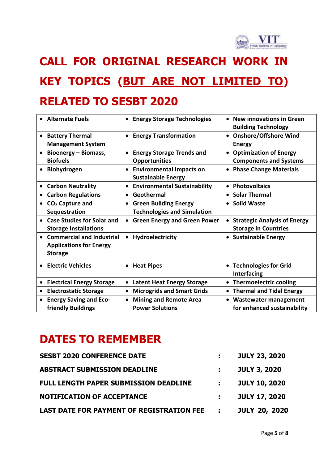

## **CALL FOR ORIGINAL RESEARCH WORK IN KEY TOPICS (BUT ARE NOT LIMITED TO) RELATED TO SESBT 2020**

| <b>Alternate Fuels</b>                                          |                                                | • Energy Storage Technologies                                      | • New innovations in Green<br><b>Building Technology</b>                        |
|-----------------------------------------------------------------|------------------------------------------------|--------------------------------------------------------------------|---------------------------------------------------------------------------------|
| <b>Battery Thermal</b><br>$\bullet$<br><b>Management System</b> |                                                | • Energy Transformation                                            | <b>Onshore/Offshore Wind</b><br>$\bullet$<br><b>Energy</b>                      |
| Bioenergy - Biomass,<br><b>Biofuels</b>                         |                                                | <b>Energy Storage Trends and</b><br><b>Opportunities</b>           | • Optimization of Energy<br><b>Components and Systems</b>                       |
| Biohydrogen                                                     |                                                | <b>Environmental Impacts on</b><br><b>Sustainable Energy</b>       | <b>Phase Change Materials</b>                                                   |
| <b>Carbon Neutrality</b>                                        |                                                | <b>Environmental Sustainability</b>                                | • Photovoltaics                                                                 |
| <b>Carbon Regulations</b>                                       | $\bullet$                                      | Geothermal                                                         | • Solar Thermal                                                                 |
| $CO2$ Capture and<br>Sequestration                              | $\bullet$                                      | <b>Green Building Energy</b><br><b>Technologies and Simulation</b> | • Solid Waste                                                                   |
| $\bullet$<br><b>Storage Installations</b>                       | <b>Case Studies for Solar and</b><br>$\bullet$ | <b>Green Energy and Green Power</b>                                | <b>Strategic Analysis of Energy</b><br>$\bullet$<br><b>Storage in Countries</b> |
| <b>Applications for Energy</b><br><b>Storage</b>                | <b>Commercial and Industrial</b>               | Hydroelectricity                                                   | • Sustainable Energy                                                            |
| <b>Electric Vehicles</b>                                        |                                                | • Heat Pipes                                                       | • Technologies for Grid<br><b>Interfacing</b>                                   |
| <b>Electrical Energy Storage</b>                                |                                                | <b>Latent Heat Energy Storage</b>                                  | • Thermoelectric cooling                                                        |
| <b>Electrostatic Storage</b>                                    | $\bullet$                                      | <b>Microgrids and Smart Grids</b>                                  | • Thermal and Tidal Energy                                                      |
| <b>Energy Saving and Eco-</b><br>friendly Buildings             | $\bullet$                                      | <b>Mining and Remote Area</b><br><b>Power Solutions</b>            | <b>Wastewater management</b><br>for enhanced sustainability                     |

#### **DATES TO REMEMBER**

| <b>SESBT 2020 CONFERENCE DATE</b>                |                  | <b>JULY 23, 2020</b> |
|--------------------------------------------------|------------------|----------------------|
| <b>ABSTRACT SUBMISSION DEADLINE</b>              |                  | <b>JULY 3, 2020</b>  |
| <b>FULL LENGTH PAPER SUBMISSION DEADLINE</b>     | $\mathbf{L}$     | <b>JULY 10, 2020</b> |
| <b>NOTIFICATION OF ACCEPTANCE</b>                |                  | <b>JULY 17, 2020</b> |
| <b>LAST DATE FOR PAYMENT OF REGISTRATION FEE</b> | $\sim$ 10 $\sim$ | <b>JULY 20, 2020</b> |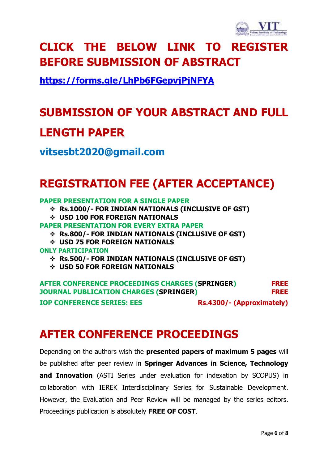

## **CLICK THE BELOW LINK TO REGISTER BEFORE SUBMISSION OF ABSTRACT**

**<https://forms.gle/LhPb6FGepvjPjNFYA>**

## **SUBMISSION OF YOUR ABSTRACT AND FULL LENGTH PAPER**

**vitsesbt2020@gmail.com**

#### **REGISTRATION FEE (AFTER ACCEPTANCE)**

**PAPER PRESENTATION FOR A SINGLE PAPER**

- **Rs.1000/- FOR INDIAN NATIONALS (INCLUSIVE OF GST)**
- **USD 100 FOR FOREIGN NATIONALS**
- **PAPER PRESENTATION FOR EVERY EXTRA PAPER**
	- **Rs.800/- FOR INDIAN NATIONALS (INCLUSIVE OF GST)**
	- **USD 75 FOR FOREIGN NATIONALS**
- **ONLY PARTICIPATION**
	- **Rs.500/- FOR INDIAN NATIONALS (INCLUSIVE OF GST)**
	- **USD 50 FOR FOREIGN NATIONALS**

**AFTER CONFERENCE PROCEEDINGS CHARGES (SPRINGER) FREE JOURNAL PUBLICATION CHARGES (SPRINGER) FREE IOP CONFERENCE SERIES: EES** Rs.4300/- (Approximately)

#### **AFTER CONFERENCE PROCEEDINGS**

Depending on the authors wish the **presented papers of maximum 5 pages** will be published after peer review in **Springer Advances in Science, Technology and Innovation** (ASTI Series under evaluation for indexation by SCOPUS) in collaboration with IEREK Interdisciplinary Series for Sustainable Development. However, the Evaluation and Peer Review will be managed by the series editors. Proceedings publication is absolutely **FREE OF COST**.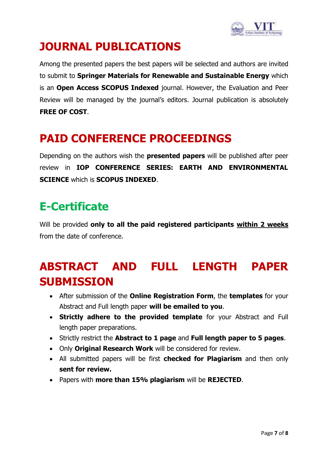

#### **JOURNAL PUBLICATIONS**

Among the presented papers the best papers will be selected and authors are invited to submit to **Springer Materials for Renewable and Sustainable Energy** which is an **Open Access SCOPUS Indexed** journal. However, the Evaluation and Peer Review will be managed by the journal's editors. Journal publication is absolutely **FREE OF COST**.

#### **PAID CONFERENCE PROCEEDINGS**

Depending on the authors wish the **presented papers** will be published after peer review in **IOP CONFERENCE SERIES: EARTH AND ENVIRONMENTAL SCIENCE** which is **SCOPUS INDEXED**.

#### **E-Certificate**

Will be provided **only to all the paid registered participants within 2 weeks** from the date of conference.

### **ABSTRACT AND FULL LENGTH PAPER SUBMISSION**

- After submission of the **Online Registration Form**, the **templates** for your Abstract and Full length paper **will be emailed to you**.
- **Strictly adhere to the provided template** for your Abstract and Full length paper preparations.
- Strictly restrict the **Abstract to 1 page** and **Full length paper to 5 pages**.
- Only **Original Research Work** will be considered for review.
- All submitted papers will be first **checked for Plagiarism** and then only **sent for review.**
- Papers with **more than 15% plagiarism** will be **REJECTED**.